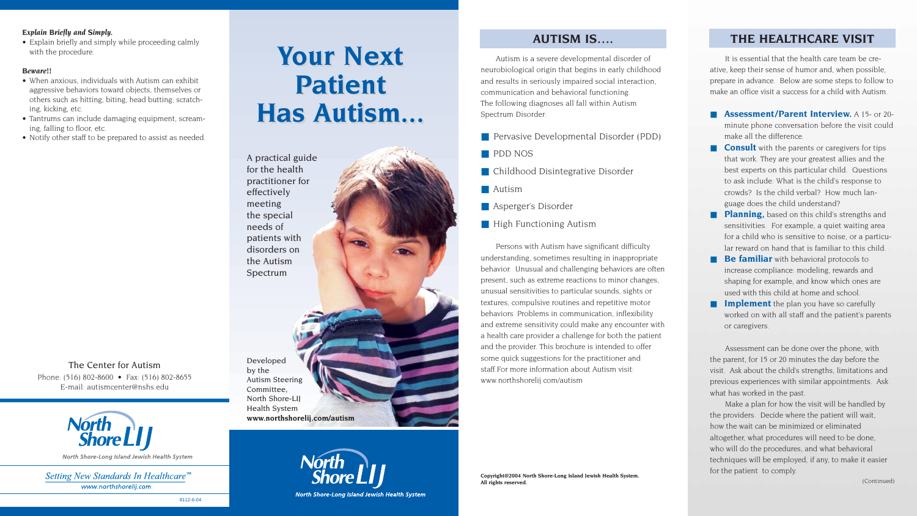# **Your Next Your Next Patient Patient Has Autism... Has Autism...**

# **AUTISM IS….**

Autism is a severe developmental disorder of neurobiological origin that begins in early childhood and results in seriously impaired social interaction, communication and behavioral functioning. The following diagnoses all fall within Autism Spectrum Disorder:

- Pervasive Developmental Disorder (PDD)
- PDD NOS
- Childhood Disintegrative Disorder
- Autism
- Asperger's Disorder
- High Functioning Autism

■ **Assessment/Parent Interview.** A 15- or 20minute phone conversation before the visit could make all the difference.

Persons with Autism have significant difficulty understanding, sometimes resulting in inappropriate behavior. Unusual and challenging behaviors are often present, such as extreme reactions to minor changes, unusual sensitivities to particular sounds, sights or textures, compulsive routines and repetitive motor behaviors. Problems in communication, inflexibility and extreme sensitivity could make any encounter with a health care provider a challenge for both the patient and the provider. This brochure is intended to offer some quick suggestions for the practitioner and staff.For more information about Autism visit: www.northshorelij.com/autism

■ **Consult** with the parents or caregivers for tips that work. They are your greatest allies and the best experts on this particular child. Questions to ask include: What is the child's response to crowds? Is the child verbal? How much language does the child understand?

■ **Planning**, based on this child's strengths and sensitivities. For example, a quiet waiting area for a child who is sensitive to noise, or a particular reward on hand that is familiar to this child. ■ **Be familiar** with behavioral protocols to increase compliance: modeling, rewards and shaping for example, and know which ones are used with this child at home and school. **Implement** the plan you have so carefully worked on with all staff and the patient's parents



# **THE HEALTHCARE VISIT**

It is essential that the health care team be creative, keep their sense of humor and, when possible, prepare in advance. Below are some steps to follow to make an office visit a success for a child with Autism.

or caregivers.

Assessment can be done over the phone, with the parent, for 15 or 20 minutes the day before the visit. Ask about the child's strengths, limitations and previous experiences with similar appointments. Ask what has worked in the past.

Make a plan for how the visit will be handled by the providers. Decide where the patient will wait, how the wait can be minimized or eliminated altogether, what procedures will need to be done, who will do the procedures, and what behavioral techniques will be employed, if any, to make it easier for the patient to comply.

(Continued)

Phone: (516) 802-8600 • Fax: (516) 802-8655 E-mail: autismcenter@nshs.edu The Center for Autism



Setting New Standards In Healthcare<sup>5M</sup> www.northshorelij.com

### *Explain Briefly and Simply.*

• Explain briefly and simply while proceeding calmly with the procedure.

#### *Beware!!*

- When anxious, individuals with Autism can exhibit aggressive behaviors toward objects, themselves or others such as hitting, biting, head butting, scratching, kicking, etc.
- Tantrums can include damaging equipment, screaming, falling to floor, etc.
- Notify other staff to be prepared to assist as needed.



North Shore-Long Island Jewish Health System